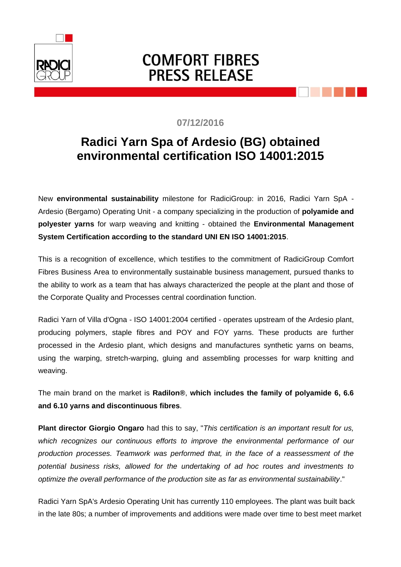

## **COMFORT FIBRES PRESS RELEASE**

## **07/12/2016**

## **Radici Yarn Spa of Ardesio (BG) obtained environmental certification ISO 14001:2015**

New **environmental sustainability** milestone for RadiciGroup: in 2016, Radici Yarn SpA - Ardesio (Bergamo) Operating Unit - a company specializing in the production of **polyamide and polyester yarns** for warp weaving and knitting - obtained the **Environmental Management System Certification according to the standard UNI EN ISO 14001:2015**.

This is a recognition of excellence, which testifies to the commitment of RadiciGroup Comfort Fibres Business Area to environmentally sustainable business management, pursued thanks to the ability to work as a team that has always characterized the people at the plant and those of the Corporate Quality and Processes central coordination function.

Radici Yarn of Villa d'Ogna - ISO 14001:2004 certified - operates upstream of the Ardesio plant, producing polymers, staple fibres and POY and FOY yarns. These products are further processed in the Ardesio plant, which designs and manufactures synthetic yarns on beams, using the warping, stretch-warping, gluing and assembling processes for warp knitting and weaving.

The main brand on the market is **Radilon®**, **which includes the family of polyamide 6, 6.6 and 6.10 yarns and discontinuous fibres**.

**Plant director Giorgio Ongaro** had this to say, "*This certification is an important result for us, which recognizes our continuous efforts to improve the environmental performance of our production processes. Teamwork was performed that, in the face of a reassessment of the potential business risks, allowed for the undertaking of ad hoc routes and investments to optimize the overall performance of the production site as far as environmental sustainability*."

Radici Yarn SpA's Ardesio Operating Unit has currently 110 employees. The plant was built back in the late 80s; a number of improvements and additions were made over time to best meet market